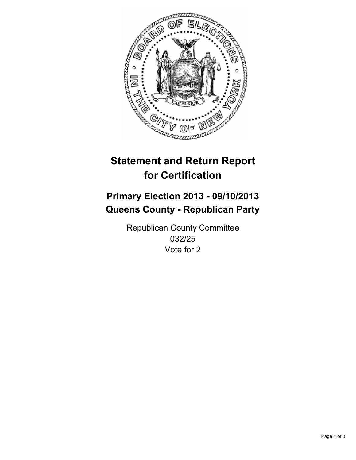

# **Statement and Return Report for Certification**

# **Primary Election 2013 - 09/10/2013 Queens County - Republican Party**

Republican County Committee 032/25 Vote for 2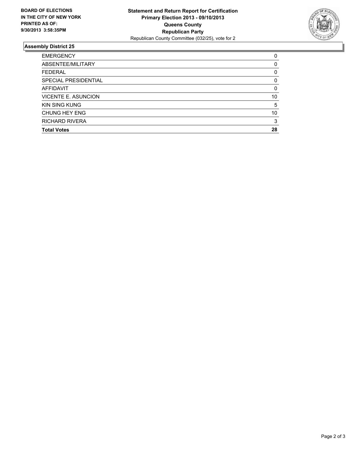

## **Assembly District 25**

| <b>EMERGENCY</b>            | 0        |
|-----------------------------|----------|
| ABSENTEE/MILITARY           | 0        |
| <b>FEDERAL</b>              | 0        |
| <b>SPECIAL PRESIDENTIAL</b> | 0        |
| <b>AFFIDAVIT</b>            | $\Omega$ |
| <b>VICENTE E. ASUNCION</b>  | 10       |
| <b>KIN SING KUNG</b>        | 5        |
| <b>CHUNG HEY ENG</b>        | 10       |
| <b>RICHARD RIVERA</b>       | 3        |
| <b>Total Votes</b>          | 28       |